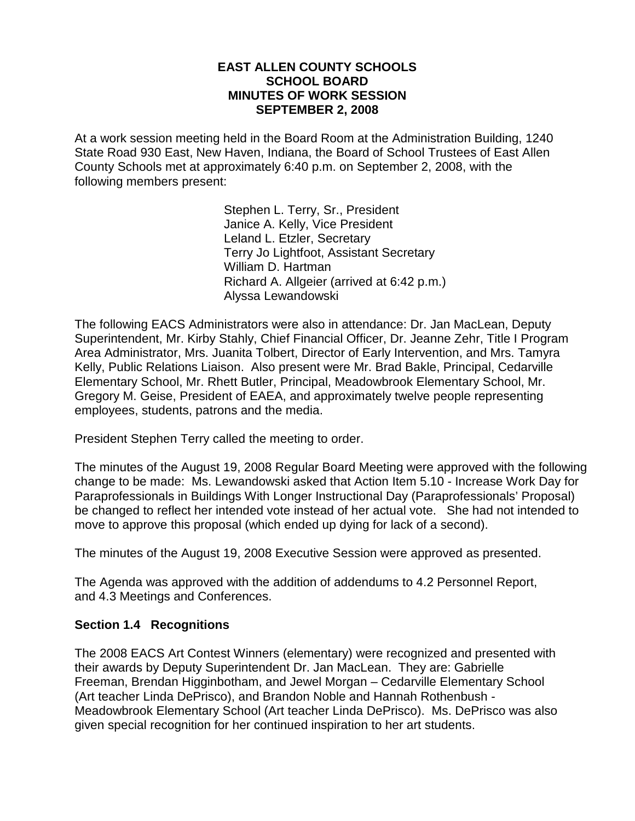#### **EAST ALLEN COUNTY SCHOOLS SCHOOL BOARD MINUTES OF WORK SESSION SEPTEMBER 2, 2008**

At a work session meeting held in the Board Room at the Administration Building, 1240 State Road 930 East, New Haven, Indiana, the Board of School Trustees of East Allen County Schools met at approximately 6:40 p.m. on September 2, 2008, with the following members present:

> Stephen L. Terry, Sr., President Janice A. Kelly, Vice President Leland L. Etzler, Secretary Terry Jo Lightfoot, Assistant Secretary William D. Hartman Richard A. Allgeier (arrived at 6:42 p.m.) Alyssa Lewandowski

The following EACS Administrators were also in attendance: Dr. Jan MacLean, Deputy Superintendent, Mr. Kirby Stahly, Chief Financial Officer, Dr. Jeanne Zehr, Title I Program Area Administrator, Mrs. Juanita Tolbert, Director of Early Intervention, and Mrs. Tamyra Kelly, Public Relations Liaison. Also present were Mr. Brad Bakle, Principal, Cedarville Elementary School, Mr. Rhett Butler, Principal, Meadowbrook Elementary School, Mr. Gregory M. Geise, President of EAEA, and approximately twelve people representing employees, students, patrons and the media.

President Stephen Terry called the meeting to order.

The minutes of the August 19, 2008 Regular Board Meeting were approved with the following change to be made: Ms. Lewandowski asked that Action Item 5.10 - Increase Work Day for Paraprofessionals in Buildings With Longer Instructional Day (Paraprofessionals' Proposal) be changed to reflect her intended vote instead of her actual vote. She had not intended to move to approve this proposal (which ended up dying for lack of a second).

The minutes of the August 19, 2008 Executive Session were approved as presented.

The Agenda was approved with the addition of addendums to 4.2 Personnel Report, and 4.3 Meetings and Conferences.

#### **Section 1.4 Recognitions**

The 2008 EACS Art Contest Winners (elementary) were recognized and presented with their awards by Deputy Superintendent Dr. Jan MacLean. They are: Gabrielle Freeman, Brendan Higginbotham, and Jewel Morgan – Cedarville Elementary School (Art teacher Linda DePrisco), and Brandon Noble and Hannah Rothenbush - Meadowbrook Elementary School (Art teacher Linda DePrisco). Ms. DePrisco was also given special recognition for her continued inspiration to her art students.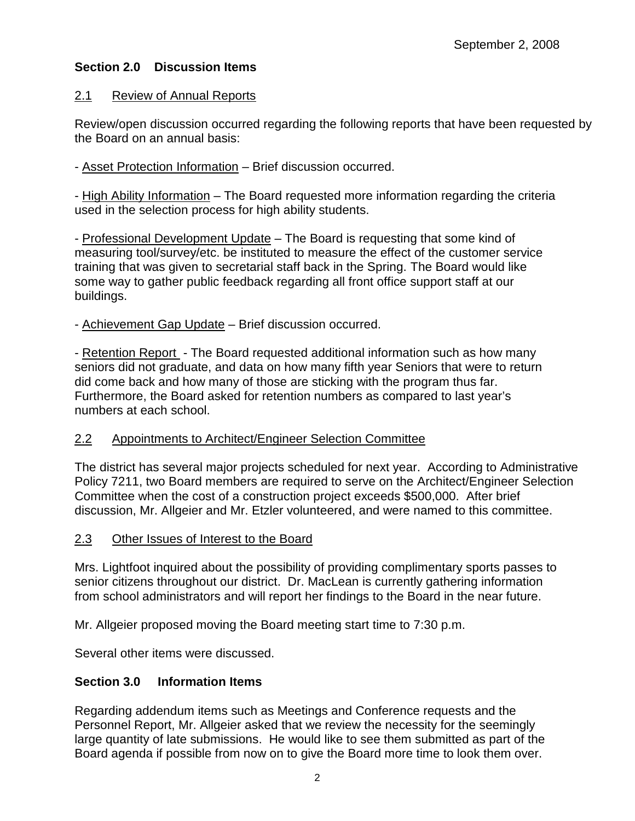# **Section 2.0 Discussion Items**

# 2.1 Review of Annual Reports

Review/open discussion occurred regarding the following reports that have been requested by the Board on an annual basis:

- Asset Protection Information – Brief discussion occurred.

- High Ability Information – The Board requested more information regarding the criteria used in the selection process for high ability students.

- Professional Development Update – The Board is requesting that some kind of measuring tool/survey/etc. be instituted to measure the effect of the customer service training that was given to secretarial staff back in the Spring. The Board would like some way to gather public feedback regarding all front office support staff at our buildings.

- Achievement Gap Update - Brief discussion occurred.

- Retention Report - The Board requested additional information such as how many seniors did not graduate, and data on how many fifth year Seniors that were to return did come back and how many of those are sticking with the program thus far. Furthermore, the Board asked for retention numbers as compared to last year's numbers at each school.

## 2.2 Appointments to Architect/Engineer Selection Committee

The district has several major projects scheduled for next year. According to Administrative Policy 7211, two Board members are required to serve on the Architect/Engineer Selection Committee when the cost of a construction project exceeds \$500,000. After brief discussion, Mr. Allgeier and Mr. Etzler volunteered, and were named to this committee.

## 2.3 Other Issues of Interest to the Board

Mrs. Lightfoot inquired about the possibility of providing complimentary sports passes to senior citizens throughout our district. Dr. MacLean is currently gathering information from school administrators and will report her findings to the Board in the near future.

Mr. Allgeier proposed moving the Board meeting start time to 7:30 p.m.

Several other items were discussed.

# **Section 3.0 Information Items**

Regarding addendum items such as Meetings and Conference requests and the Personnel Report, Mr. Allgeier asked that we review the necessity for the seemingly large quantity of late submissions. He would like to see them submitted as part of the Board agenda if possible from now on to give the Board more time to look them over.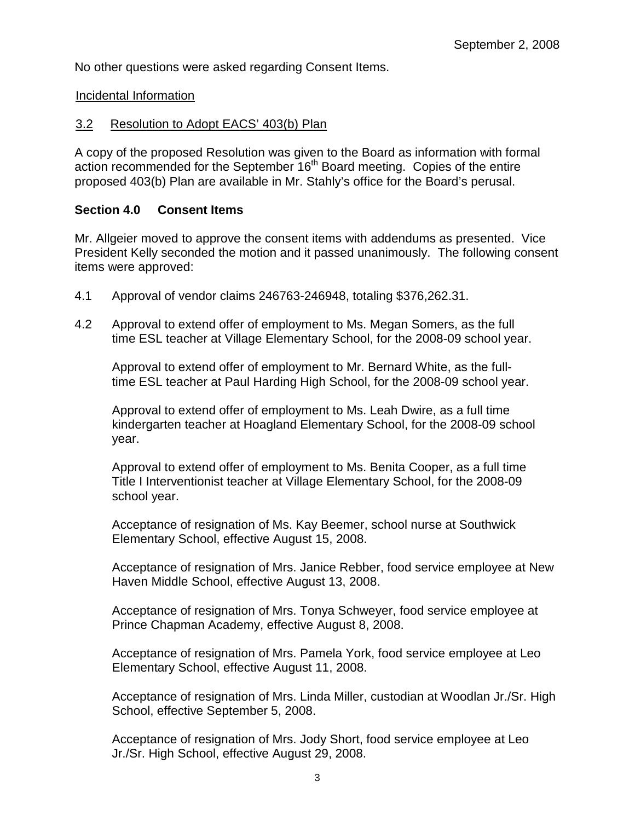No other questions were asked regarding Consent Items.

#### Incidental Information

### 3.2 Resolution to Adopt EACS' 403(b) Plan

A copy of the proposed Resolution was given to the Board as information with formal action recommended for the September 16<sup>th</sup> Board meeting. Copies of the entire proposed 403(b) Plan are available in Mr. Stahly's office for the Board's perusal.

### **Section 4.0 Consent Items**

Mr. Allgeier moved to approve the consent items with addendums as presented. Vice President Kelly seconded the motion and it passed unanimously. The following consent items were approved:

- 4.1 Approval of vendor claims 246763-246948, totaling \$376,262.31.
- 4.2 Approval to extend offer of employment to Ms. Megan Somers, as the full time ESL teacher at Village Elementary School, for the 2008-09 school year.

Approval to extend offer of employment to Mr. Bernard White, as the fulltime ESL teacher at Paul Harding High School, for the 2008-09 school year.

Approval to extend offer of employment to Ms. Leah Dwire, as a full time kindergarten teacher at Hoagland Elementary School, for the 2008-09 school year.

Approval to extend offer of employment to Ms. Benita Cooper, as a full time Title I Interventionist teacher at Village Elementary School, for the 2008-09 school year.

 Acceptance of resignation of Ms. Kay Beemer, school nurse at Southwick Elementary School, effective August 15, 2008.

Acceptance of resignation of Mrs. Janice Rebber, food service employee at New Haven Middle School, effective August 13, 2008.

Acceptance of resignation of Mrs. Tonya Schweyer, food service employee at Prince Chapman Academy, effective August 8, 2008.

Acceptance of resignation of Mrs. Pamela York, food service employee at Leo Elementary School, effective August 11, 2008.

Acceptance of resignation of Mrs. Linda Miller, custodian at Woodlan Jr./Sr. High School, effective September 5, 2008.

Acceptance of resignation of Mrs. Jody Short, food service employee at Leo Jr./Sr. High School, effective August 29, 2008.